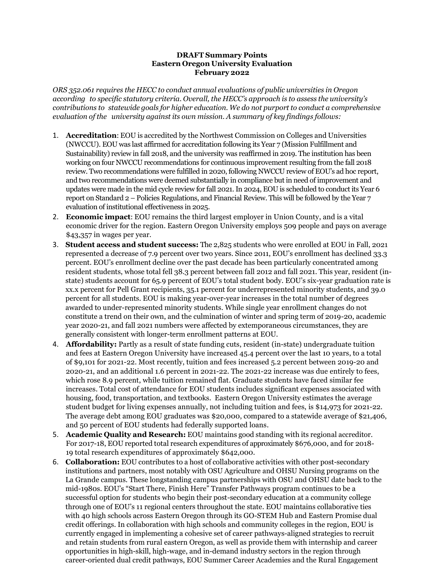## **DRAFT Summary Points Eastern Oregon University Evaluation February 2022**

*ORS 352.061 requires the HECC to conduct annual evaluations of public universities in Oregon according to specific statutory criteria. Overall, the HECC's approach is to assess the university's contributions to statewide goals for higher education. We do not purport to conduct a comprehensive evaluation of the university against its own mission. A summary of key findings follows:*

- 1. **Accreditation**: EOU is accredited by the Northwest Commission on Colleges and Universities (NWCCU). EOU was last affirmed for accreditation following its Year 7 (Mission Fulfillment and Sustainability) review in fall 2018, and the university was reaffirmed in 2019. The institution has been working on four NWCCU recommendations for continuous improvement resulting from the fall 2018 review. Two recommendations were fulfilled in 2020, following NWCCU review of EOU's ad hoc report, and two recommendations were deemed substantially in compliance but in need of improvement and updates were made in the mid cycle review for fall 2021. In 2024, EOU is scheduled to conduct its Year 6 report on Standard 2 – Policies Regulations, and Financial Review. This will be followed by the Year 7 evaluation of institutional effectiveness in 2025.
- 2. **Economic impact**: EOU remains the third largest employer in Union County, and is a vital economic driver for the region. Eastern Oregon University employs 509 people and pays on average \$43,357 in wages per year.
- 3. **Student access and student success:** The 2,825 students who were enrolled at EOU in Fall, 2021 represented a decrease of 7.9 percent over two years. Since 2011, EOU's enrollment has declined 33.3 percent. EOU's enrollment decline over the past decade has been particularly concentrated among resident students, whose total fell 38.3 percent between fall 2012 and fall 2021. This year, resident (instate) students account for 65.9 percent of EOU's total student body. EOU's six-year graduation rate is xx.x percent for Pell Grant recipients, 35.1 percent for underrepresented minority students, and 39.0 percent for all students. EOU is making year-over-year increases in the total number of degrees awarded to under-represented minority students. While single year enrollment changes do not constitute a trend on their own, and the culmination of winter and spring term of 2019-20, academic year 2020-21, and fall 2021 numbers were affected by extemporaneous circumstances, they are generally consistent with longer-term enrollment patterns at EOU.
- 4. **Affordability:** Partly as a result of state funding cuts, resident (in-state) undergraduate tuition and fees at Eastern Oregon University have increased 45.4 percent over the last 10 years, to a total of \$9,101 for 2021-22. Most recently, tuition and fees increased 5.2 percent between 2019-20 and 2020-21, and an additional 1.6 percent in 2021-22. The 2021-22 increase was due entirely to fees, which rose 8.9 percent, while tuition remained flat. Graduate students have faced similar fee increases. Total cost of attendance for EOU students includes significant expenses associated with housing, food, transportation, and textbooks. Eastern Oregon University estimates the average student budget for living expenses annually, not including tuition and fees, is \$14,973 for 2021-22. The average debt among EOU graduates was \$20,000, compared to a statewide average of \$21,406, and 50 percent of EOU students had federally supported loans.
- 5. **Academic Quality and Research:** EOU maintains good standing with its regional accreditor. For 2017-18, EOU reported total research expenditures of approximately \$676,000, and for 2018- 19 total research expenditures of approximately \$642,000.
- 6. **Collaboration:** EOU contributes to a host of collaborative activities with other post-secondary institutions and partners, most notably with OSU Agriculture and OHSU Nursing programs on the La Grande campus. These longstanding campus partnerships with OSU and OHSU date back to the mid-1980s. EOU's "Start There, Finish Here" Transfer Pathways program continues to be a successful option for students who begin their post-secondary education at a community college through one of EOU's 11 regional centers throughout the state. EOU maintains collaborative ties with 40 high schools across Eastern Oregon through its GO-STEM Hub and Eastern Promise dual credit offerings. In collaboration with high schools and community colleges in the region, EOU is currently engaged in implementing a cohesive set of career pathways-aligned strategies to recruit and retain students from rural eastern Oregon, as well as provide them with internship and career opportunities in high-skill, high-wage, and in-demand industry sectors in the region through career-oriented dual credit pathways, EOU Summer Career Academies and the Rural Engagement